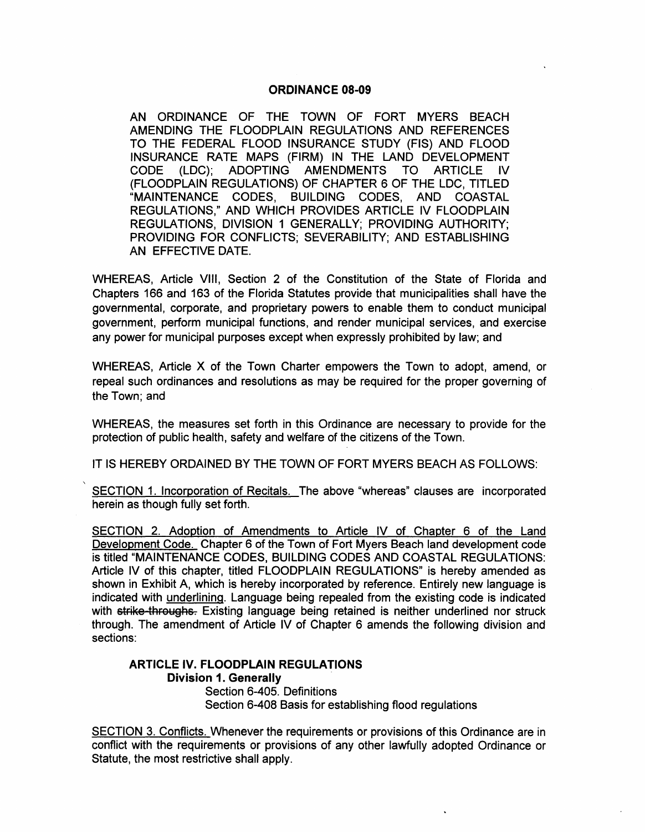### ORDINANCE 08-09

AN ORDINANCE OF THE TOWN OF FORT MYERS BEACH AMENDING THE FLOODPLAIN REGULATIONS AND REFERENCES TO THE FEDERAL FLOOD INSURANCE STUDY (FIS) AND FLOOD INSURANCE RATE MAPS (FIRM) IN THE LAND DEVELOPMENT CODE (LDC); ADOPTING (FLOODPLAIN REGULATIONS) OF CHAPTER 6 OF THE LDC, TITLED "MAINTENANCE CODES, BUILDING CODES, AND COASTAL REGULATIONS," AND WHICH PROVIDES ARTICLE IV FLOODPLAIN REGULATIONS, DIVISION 1 GENERALLY; PROVIDING AUTHORITY; PROVIDING FOR CONFLICTS; SEVERABILITY; AND ESTABLISHING AN EFFECTIVE DATE.

WHEREAS, Article VIII, Section 2 of the Constitution of the State of Florida and Chapters 166 and 163 of the Florida Statutes provide that municipalities shall have the governmental, corporate, and proprietary powers to enable them to conduct municipal government, perform municipal functions, and render municipal services, and exercise any power for municipal purposes except when expressly prohibited by law; and

WHEREAS, Article X of the Town Charter empowers the Town to adopt, amend, or repeal such ordinances and resolutions as may be required for the proper governing of the Town; and

WHEREAS, the measures set forth in this Ordinance are necessary to provide for the protection of public health, safety and welfare of the citizens of the Town.

IT IS HEREBY ORDAINED BY THE TOWN OF FORT MYERS BEACH AS FOLLOWS:

SECTION 1. Incorporation of Recitals. The above "whereas" clauses are incorporated herein as though fully set forth.

SECTION 2. Adoption of Amendments to Article IV of Chapter 6 of the Land Development Code. Chapter 6 of the Town of Fort Myers Beach land development code is titled "MAINTENANCE CODES, BUILDING CODES AND COASTAL REGULATIONS: Article IV of this chapter, titled FLOODPLAIN REGULATIONS" is hereby amended as shown in Exhibit A, which is hereby incorporated by reference. Entirely new language is indicated with underlining. Language being repealed from the existing code is indicated with strike throughs. Existing language being retained is neither underlined nor struck through. The amendment of Article IV of Chapter 6 amends the following division and sections:

## ARTICLE IV. FLOODPLAIN REGULATIONS Division 1. Generally

Section 6-405. Definitions Section 6-408 Basis for establishing flood regulations

SECTION 3. Conflicts. Whenever the requirements or provisions of this Ordinance are in conflict with the requirements or provisions of any other lawfully adopted Ordinance or Statute, the most restrictive shall apply.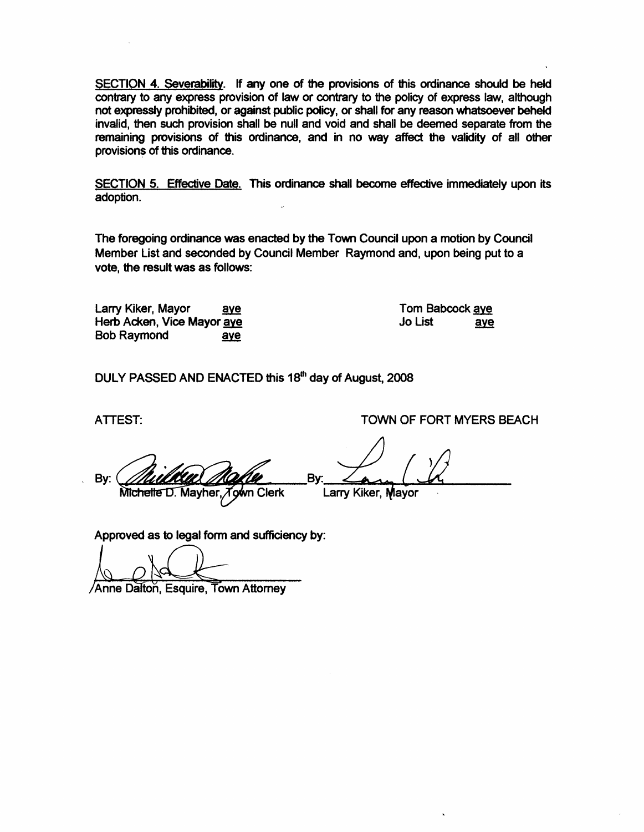SECTION 4. Severability. If any one of the provisions of this ordinance should be held contrary to any express provision of law or contrary to the policy of express law, although not expressly prohibited, or against public policy, or shall for any reason whatsoever beheld invalid, then such provision shall be null and void and shall be deemed separate from the remaining provisions of this ordinance, and in no way affect the validity of all other provisions of this ordinance.

SECTION 5. Effective Date. This ordinance shall become effective immediately upon its adoption.

The foregoing ordinance was enacted by the Town Council upon a motion by Council Member List and seconded by Council Member Raymond and, upon being put to a vote, the result was as follows:

Larry Kiker, Mayor aye Herb Acken, Vice Mayor aye Bob Raymond aye

Tom Babcock ave Jo List aye

DULY PASSED AND ENACTED this 18<sup>th</sup> day of August, 2008

ATTEST: TOWN OF FORT MYERS BEACH

Bv: Bv: Michelle D. Mayher, Town Clerk Larry Kiker, Mayor

Approved as to legal form and Sufficiency by:

Anne Dalton, Esquire, Town Attorney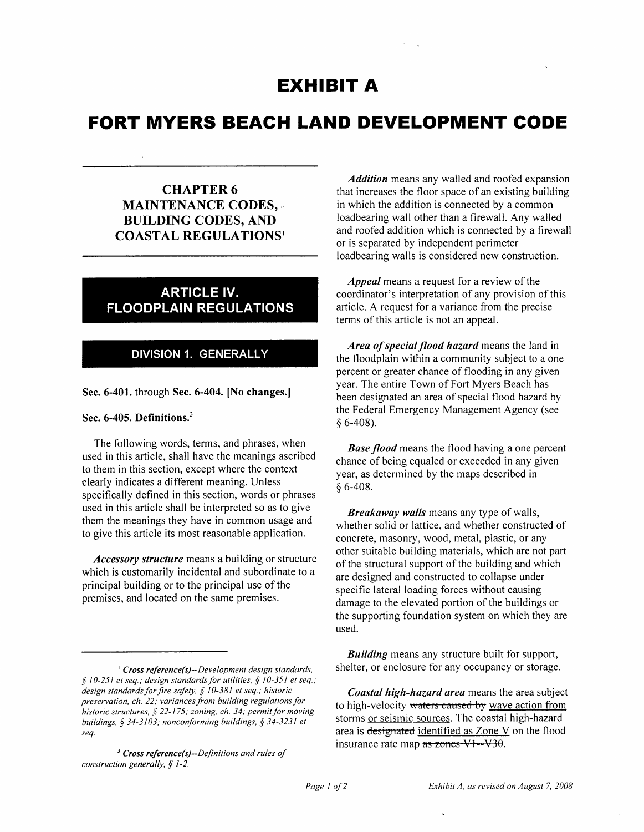# **EXHIBIT A**

# **FORT MYERS BEACH LAND DEVELOPMENT CODE**

## CHAPTER 6 MAINTENANCE CODES, .' BUILDING CODES, AND COASTAL REGULATIONS<sup>1</sup>

# ARTICLE IV. FLOODPLAIN REGULATIONS

## DIVISION 1. GENERALLY

Sec. 6-401. through Sec. 6-404. [No changes.]

#### Sec. 6-405. Definitions.<sup>3</sup>

The following words, terms, and phrases, when used in this article, shall have the meanings ascribed to them in this section, except where the context clearly indicates a different meaning. Unless specifically defined in this section, words or phrases used in this article shall be interpreted so as to give them the meanings they have in common usage and to give this article its most reasonable application.

*Accessory structure* means a building or structure which is customarily incidental and subordinate to a principal building or to the principal use of the premises, and located on the same premises.

*Addition* means any walled and roofed expansion that increases the floor space of an existing building in which the addition is connected by a common loadbearing wall other than a firewall. Any walled and roofed addition which is connected by a firewall or is separated by independent perimeter loadbearing walls is considered new construction.

*Appeal* means a request for a review of the coordinator's interpretation of any provision of this article. A request for a variance from the precise terms of this article is not an appeal.

*Area of special flood hazard* means the land in the floodplain within a community subject to a one percent or greater chance of flooding in any given year. The entire Town of Fort Myers Beach has been designated an area of special flood hazard by the Federal Emergency Management Agency (see § 6-408).

*Base flood* means the flood having a one percent chance of being equaled or exceeded in any given year, as determined by the maps described in § 6-408.

*Breakaway walls* means any type of walls, whether solid or lattice, and whether constructed of concrete, masonry, wood, metal, plastic, or any other suitable building materials, which are not part of the structural support of the building and which are designed and constructed to collapse under specific lateral loading forces without causing damage to the elevated portion of the buildings or the supporting foundation system on which they are used.

*Building* means any structure built for support, . shelter, or enclosure for any occupancy or storage.

<sup>&</sup>lt;sup>1</sup> Cross reference(s)--Development design standards, § *10-251 et seq.; design standards for utilities,* § *10-351 et seq.; design standards for fire safety,* § *10-381 et seq.; historic preservation, ch.* 22; *variances from building regulations for i*<br>*historic structures, § 22-175; zoning, ch. 34; permit for moving buildings,* § *34-3103; nonconforming buildings,* § 34-3231 *et seq.* 

*<sup>3</sup> Cross rejerence(s)-Dejinitions and rules of construction generally,* § *1-2.* 

*Coastal high-hazard area* means the area subject to high-velocity waters caused by wave action from storms or seismic sources. The coastal high-hazard area is designated identified as Zone V on the flood insurance rate map  $\overline{as}$  zones VI--V30.